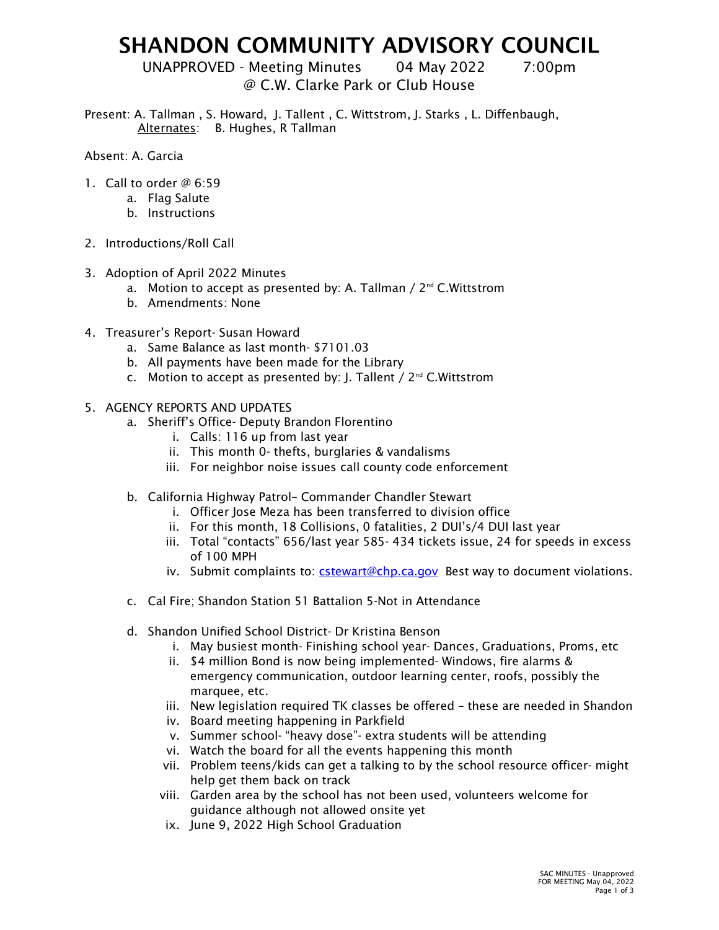## SHANDON COMMUNITY ADVISORY COUNCIL

UNAPPROVED - Meeting Minutes 04 May 2022 7:00pm

## @ C.W. Clarke Park or Club House

Present: A. Tallman , S. Howard, J. Tallent , C. Wittstrom, J. Starks , L. Diffenbaugh, Alternates: B. Hughes, R Tallman

- Absent: A. Garcia
- 1. Call to order @ 6:59
	- a. Flag Salute
	- b. Instructions
- 2. Introductions/Roll Call
- 3. Adoption of April 2022 Minutes
	- a. Motion to accept as presented by: A. Tallman  $/ 2^{nd}$  C. Wittstrom
	- b. Amendments: None
- 4. Treasurer's Report- Susan Howard
	- a. Same Balance as last month- \$7101.03
	- b. All payments have been made for the Library
	- c. Motion to accept as presented by: J. Tallent  $\ell$  2<sup>nd</sup> C. Wittstrom
- 5. AGENCY REPORTS AND UPDATES
	- a. Sheriff's Office- Deputy Brandon Florentino
		- i. Calls: 116 up from last year
		- ii. This month 0- thefts, burglaries & vandalisms
		- iii. For neighbor noise issues call county code enforcement
	- b. California Highway Patrol– Commander Chandler Stewart
		- i. Officer lose Meza has been transferred to division office
		- ii. For this month, 18 Collisions, 0 fatalities, 2 DUI's/4 DUI last year
		- iii. Total "contacts" 656/last year 585- 434 tickets issue, 24 for speeds in excess of 100 MPH
		- iv. Submit complaints to: cstewart@chp.ca.gov Best way to document violations.
	- c. Cal Fire; Shandon Station 51 Battalion 5-Not in Attendance
	- d. Shandon Unified School District- Dr Kristina Benson
		- i. May busiest month- Finishing school year- Dances, Graduations, Proms, etc
		- ii. \$4 million Bond is now being implemented- Windows, fire alarms & emergency communication, outdoor learning center, roofs, possibly the marquee, etc.
		- iii. New legislation required TK classes be offered these are needed in Shandon
		- iv. Board meeting happening in Parkfield
		- v. Summer school- "heavy dose"- extra students will be attending
		- vi. Watch the board for all the events happening this month
		- vii. Problem teens/kids can get a talking to by the school resource officer- might help get them back on track
		- viii. Garden area by the school has not been used, volunteers welcome for guidance although not allowed onsite yet
		- ix. June 9, 2022 High School Graduation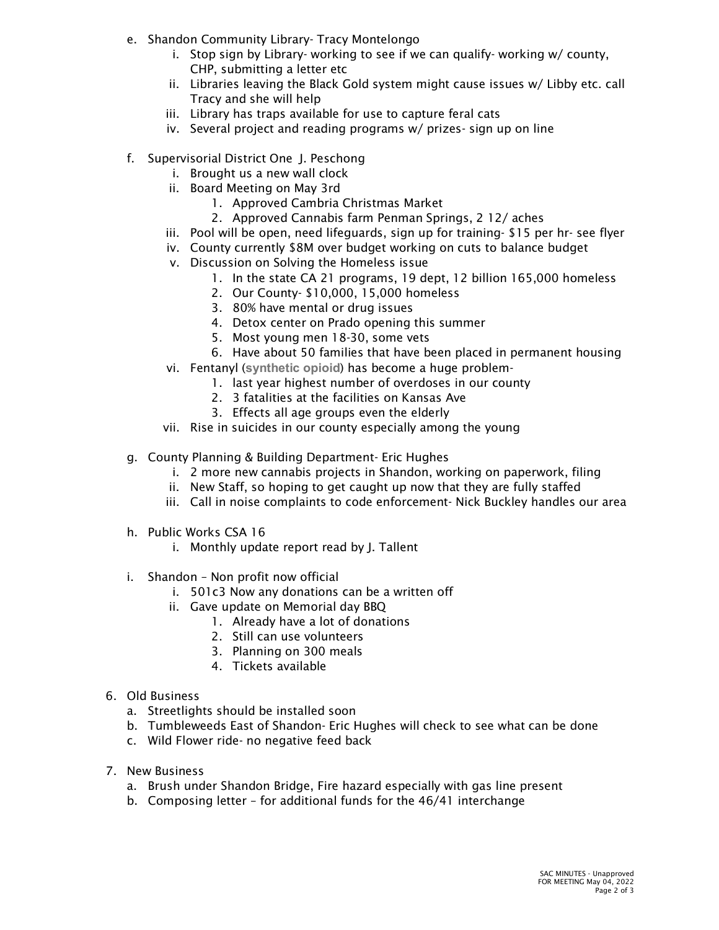- e. Shandon Community Library- Tracy Montelongo
	- i. Stop sign by Library- working to see if we can qualify- working w/ county, CHP, submitting a letter etc
	- ii. Libraries leaving the Black Gold system might cause issues w/ Libby etc. call Tracy and she will help
	- iii. Library has traps available for use to capture feral cats
	- iv. Several project and reading programs w/ prizes- sign up on line
- f. Supervisorial District One J. Peschong
	- i. Brought us a new wall clock
	- ii. Board Meeting on May 3rd
		- 1. Approved Cambria Christmas Market
		- 2. Approved Cannabis farm Penman Springs, 2 12/ aches
	- iii. Pool will be open, need lifeguards, sign up for training- \$15 per hr- see flyer
	- iv. County currently \$8M over budget working on cuts to balance budget
	- v. Discussion on Solving the Homeless issue
		- 1. In the state CA 21 programs, 19 dept, 12 billion 165,000 homeless
		- 2. Our County- \$10,000, 15,000 homeless
		- 3. 80% have mental or drug issues
		- 4. Detox center on Prado opening this summer
		- 5. Most young men 18-30, some vets
		- 6. Have about 50 families that have been placed in permanent housing
	- vi. Fentanyl (**synthetic opioid**) has become a huge problem-
		- 1. last year highest number of overdoses in our county
		- 2. 3 fatalities at the facilities on Kansas Ave
		- 3. Effects all age groups even the elderly
	- vii. Rise in suicides in our county especially among the young
- g. County Planning & Building Department- Eric Hughes
	- i. 2 more new cannabis projects in Shandon, working on paperwork, filing
	- ii. New Staff, so hoping to get caught up now that they are fully staffed
	- iii. Call in noise complaints to code enforcement- Nick Buckley handles our area
- h. Public Works CSA 16
	- i. Monthly update report read by J. Tallent
- i. Shandon Non profit now official
	- i. 501c3 Now any donations can be a written off
	- ii. Gave update on Memorial day BBQ
		- 1. Already have a lot of donations
		- 2. Still can use volunteers
		- 3. Planning on 300 meals
		- 4. Tickets available
- 6. Old Business
	- a. Streetlights should be installed soon
	- b. Tumbleweeds East of Shandon- Eric Hughes will check to see what can be done
	- c. Wild Flower ride- no negative feed back
- 7. New Business
	- a. Brush under Shandon Bridge, Fire hazard especially with gas line present
	- b. Composing letter for additional funds for the 46/41 interchange